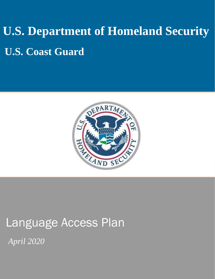# **U.S. Department of Homeland Security U.S. Coast Guard**



## Language Access Plan

*April 2020*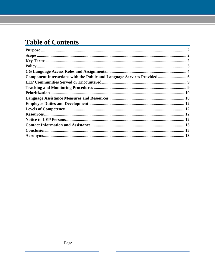#### **Table of Contents**

| Component Interactions with the Public and Language Services Provided  6 |  |
|--------------------------------------------------------------------------|--|
|                                                                          |  |
|                                                                          |  |
|                                                                          |  |
|                                                                          |  |
|                                                                          |  |
|                                                                          |  |
|                                                                          |  |
|                                                                          |  |
|                                                                          |  |
|                                                                          |  |
|                                                                          |  |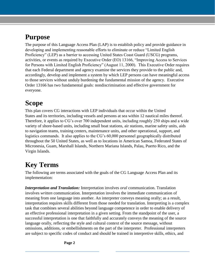#### <span id="page-2-0"></span>**Purpose**

The purpose of this Language Access Plan (LAP) is to establish policy and provide guidance in developing and implementing reasonable efforts to eliminate or reduce "Limited English Proficiency" (LEP) as a barrier to accessing United States Coast Guard (USCG) programs, activities, or events as required by Executive Order (EO) 13166, "Improving Access to Services for Persons with Limited English Proficiency" (August 11, 2000). This Executive Order requires that each Federal department and agency examine the services they provide to the public and, accordingly, develop and implement a system by which LEP persons can have meaningful access to those services without unduly burdening the fundamental mission of the agency. Executive Order 13166 has two fundamental goals: nondiscrimination and effective government for everyone.

#### <span id="page-2-1"></span>**Scope**

This plan covers CG interactions with LEP individuals that occur within the United States and its territories, including vessels and persons at sea within 12 nautical miles thereof. Therefore, it applies to CG's over 700 independent units, including roughly 250 ships and a wide variety of shore-based units, including small boat stations, air stations, marine safety units, aids to navigation teams, training centers, maintenance units, and other operational, support, and logistics commands. It also applies to the CG's 60,000 personnel geographically distributed throughout the 50 United States, as well as to locations in American Samoa, Federated States of Micronesia, Guam, Marshall Islands, Northern Mariana Islands, Palau, Puerto Rico, and the Virgin Islands.

#### <span id="page-2-2"></span>**Key Terms**

The following are terms associated with the goals of the CG Language Access Plan and its implementation:

*Interpretation and Translation:* Interpretation involves *oral* communication. Translation involves *written* communication. Interpretation involves the immediate communication of meaning from one language into another. An interpreter conveys meaning orally; as a result, interpretation requires skills different from those needed for translation. Interpreting is a complex task that combines several abilities beyond language competence in order to enable delivery of an effective professional interpretation in a given setting. From the standpoint of the user, a successful interpretation is one that faithfully and accurately conveys the meaning of the source language orally, reflecting the style and cultural context of the source message, without omissions, additions, or embellishments on the part of the interpreter. Professional interpreters are subject to specific codes of conduct and should be trained in interpretive skills, ethics, and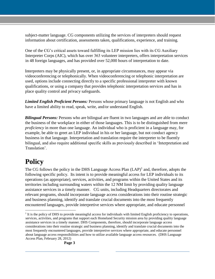subject-matter language. CG components utilizing the services of interpreters should request information about certification, assessments taken, qualifications, experience, and training.

One of the CG's critical assets toward fulfilling its LEP mission lies with its CG Auxiliary Interpreter Corps (AIC), which has over 363 volunteer interpreters, offers interpretation services in 48 foreign languages, and has provided over 52,000 hours of interpretation to date.

Interpreters may be physically present, or, in appropriate circumstances, may appear via videoconferencing or telephonically. When videoconferencing or telephonic interpretation are used, options include connecting directly to a specific professional interpreter with known qualifications, or using a company that provides telephonic interpretation services and has in place quality control and privacy safeguards.

*Limited English Proficient Persons:* Persons whose primary language is not English and who have a limited ability to read, speak, write, and/or understand English.

*Bilingual Persons:* Persons who are bilingual are fluent in two languages and are able to conduct the business of the workplace in either of those languages. This is to be distinguished from mere *proficiency* in more than one language. An individual who is proficient in a language may, for example, be able to greet an LEP individual in his or her language, but not conduct agency business in that language. Interpretation and translation require the interpreter to be fluently bilingual, and also require additional specific skills as previously described in 'Interpretation and Translation'.

### <span id="page-3-0"></span>**Policy**

The CG follows the policy in the DHS Language Access Plan  $(LAP)^1$  and, therefore, adopts the following specific policy. Its intent is to provide meaningful access for LEP individuals to its operations (as appropriate), services, activities, and programs within the United States and its territories including surrounding waters within the 12 NM limit by providing quality language assistance services in a timely manner. CG units, including Headquarters directorates and relevant programs, should incorporate language access considerations into their routine strategic and business planning, identify and translate crucial documents into the most frequently encountered languages, provide interpretive services where appropriate, and educate personnel

 $<sup>1</sup>$  It is the policy of DHS to provide meaningful access for individuals with limited English proficiency to operations,</sup> services, activities, and programs that support each Homeland Security mission area by providing quality language assistance services in a timely manner. DHS Components, therefore, should incorporate language access considerations into their routine strategic and business planning, identify and translate crucial documents into the most frequently encountered languages, provide interpretive services where appropriate, and educate personnel about language access responsibilities and how to utilize available language access resources. (DHS Language Access Plan, February 28, 2012)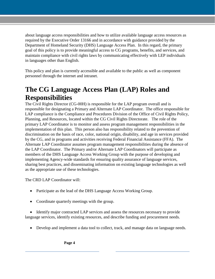about language access responsibilities and how to utilize available language access resources as required by the Executive Order 13166 and in accordance with guidance provided by the Department of Homeland Security (DHS) Language Access Plan. In this regard, the primary goal of this policy is to provide meaningful access to CG programs, benefits, and services, and maintain compliance with civil rights laws by communicating effectively with LEP individuals in languages other than English.

This policy and plan is currently accessible and available to the public as well as component personnel through the internet and intranet.

#### <span id="page-4-0"></span>**The CG Language Access Plan (LAP) Roles and Responsibilities**

The Civil Rights Director (CG-00H) is responsible for the LAP program overall and is responsible for designating a Primary and Alternate LAP Coordinator. The office responsible for LAP compliance is the Compliance and Procedures Division of the Office of Civil Rights Policy, Planning, and Resources, located within the CG Civil Rights Directorate. The role of the primary LAP Coordinator is to monitor and assess program management responsibilities in the implementation of this plan. This person also has responsibility related to the prevention of discrimination on the basis of race, color, national origin, disability, and age in services provided by the CG, and in programs and activities receiving Federal Financial Assistance (FFA). The Alternate LAP Coordinator assumes program management responsibilities during the absence of the LAP Coordinator. The Primary and/or Alternate LAP Coordinators will participate as members of the DHS Language Access Working Group with the purpose of developing and implementing Agency-wide standards for ensuring quality assurance of language services, sharing best practices, and disseminating information on existing language technologies as well as the appropriate use of these technologies.

The CRD LAP Coordinator will:

- Participate as the lead of the DHS Language Access Working Group.
- Coordinate quarterly meetings with the group.

 Identify major contracted LAP services and assess the resources necessary to provide language services, identify existing resources, and describe funding and procurement needs.

Develop and implement a data tool to collect, track, and manage data on language needs.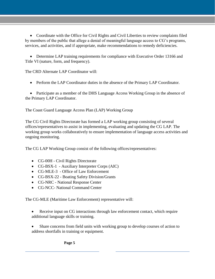Coordinate with the Office for Civil Rights and Civil Liberties to review complaints filed by members of the public that allege a denial of meaningful language access to CG's programs, services, and activities, and if appropriate, make recommendations to remedy deficiencies.

• Determine LAP training requirements for compliance with Executive Order 13166 and Title VI (nature, form, and frequency).

The CRD Alternate LAP Coordinator will:

Perform the LAP Coordinator duties in the absence of the Primary LAP Coordinator.

• Participate as a member of the DHS Language Access Working Group in the absence of the Primary LAP Coordinator.

The Coast Guard Language Access Plan (LAP) Working Group

The CG Civil Rights Directorate has formed a LAP working group consisting of several offices/representatives to assist in implementing, evaluating and updating the CG LAP. The working group works collaboratively to ensure implementation of language access activities and ongoing monitoring.

The CG LAP Working Group consist of the following offices/representatives:

- CG-00H Civil Rights Directorate
- CG-BSX-1 Auxiliary Interpreter Corps (AIC)
- CG-MLE-3 Office of Law Enforcement
- CG-BSX-22 Boating Safety Division/Grants
- CG-NRC National Response Center
- CG-NCC- National Command Center

The CG-MLE (Maritime Law Enforcement) representative will:

- Receive input on CG interactions through law enforcement contact, which require additional language skills or training.
- Share concerns from field units with working group to develop courses of action to address shortfalls in training or equipment.

**Page 5**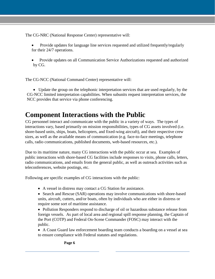The CG-NRC (National Response Center) representative will:

- Provide updates for language line services requested and utilized frequently/regularly for their 24/7 operations.
- Provide updates on all Communication Service Authorizations requested and authorized by CG.

The CG-NCC (National Command Center) representative will:

 Update the group on the telephonic interpretation services that are used regularly, by the CG-NCC limited interpretation capabilities. When subunits request interpretation services, the NCC provides that service via phone conferencing.

#### <span id="page-6-0"></span>**Component Interactions with the Public**

calls, radio communications, published documents, web-based resources, etc.). CG personnel interact and communicate with the public in a variety of ways. The types of interactions vary, based primarily on mission responsibilities, types of CG assets involved (i.e. shore-based units, ships, boats, helicopters, and fixed-wing aircraft), and their respective crew sizes, as well as the available means of communication (e.g. face-to-face meetings, telephone

Due to its maritime nature, many CG interactions with the public occur at sea. Examples of public interactions with shore-based CG facilities include responses to visits, phone calls, letters, radio communications, and emails from the general public, as well as outreach activities such as teleconferences, website postings, etc.

Following are specific examples of CG interactions with the public:

- A vessel in distress may contact a CG Station for assistance.
- Search and Rescue (SAR) operations may involve communications with shore-based units, aircraft, cutters, and/or boats, often by individuals who are either in distress or require some sort of maritime assistance.

• Pollution Responders respond to discharge of oil or hazardous substance release from foreign vessels. As part of local area and regional spill response planning, the Captain of the Port (COTP) and Federal On-Scene Commander (FOSC) may interact with the public.

 A Coast Guard law enforcement boarding team conducts a boarding on a vessel at sea to ensure compliance with Federal statutes and regulations.

#### **Page 6**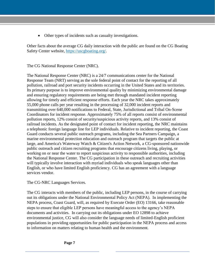Other types of incidents such as casualty investigations.

Other facts about the average CG daily interaction with the public are found on the CG Boating Safety Center website, <https://uscgboating.org>[/.](http://uscgboating.org/about/us_coast_guard_facts.aspx)

The CG National Response Center (NRC).

The National Response Center (NRC) is a 24/7 communications center for the National Response Team (NRT) serving as the sole federal point of contact for the reporting of all pollution, railroad and port security incidents occurring in the United States and its territories. Its primary purpose is to improve environmental quality by minimizing environmental damage and ensuring regulatory requirements are being met through mandated incident reporting allowing for timely and efficient response efforts. Each year the NRC takes approximately 55,000 phone calls per year resulting in the processing of 32,000 incident reports and transmitting over 640,000 notifications to Federal, State, Jurisdictional and Tribal On-Scene Coordinators for incident response. Approximately 75% of all reports consist of environmental pollution reports, 12% consist of security/suspicious activity reports, and 13% consist of railroad incidents. As the designated point of contact for incident reporting, the NRC maintains a telephonic foreign language line for LEP individuals. Relative to incident reporting, the Coast Guard conducts several public outreach programs, including the Sea Partners Campaign, a marine environmental protection education and outreach program that targets the public at large, and America's Waterway Watch & Citizen's Action Network, a CG-sponsored nationwide public outreach and citizen recruiting programs that encourage citizens living, playing, or working on or near the water to report suspicious activity to responsible authorities, including the National Response Center. The CG participation in these outreach and recruiting activities will typically involve interaction with myriad individuals who speak languages other than English, or who have limited English proficiency. CG has an agreement with a language services vendor.

The CG-NRC Languages Services.

The CG interacts with members of the public, including LEP persons, in the course of carrying out its obligations under the National Environmental Policy Act (NEPA). In implementing the NEPA process, Coast Guard, will, as required by Execute Order (EO) 13166, take reasonable steps to ensure that eligible LEP persons have meaningful access to the agency's NEPA documents and activities. In carrying out its obligations under EO 12898 to achieve environmental justice, CG will also consider the language needs of limited-English proficient populations in providing opportunities for public participation in the NEPA process and access to information on matters relating to human health and the environment.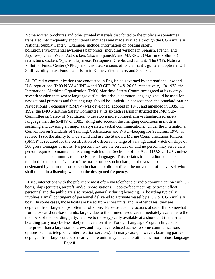Some written brochures and other printed materials distributed to the public are sometimes translated into frequently encountered languages and made available through the CG Auxiliary National Supply Center. Examples include, information on boating safety, pollution/environmental awareness pamphlets (including versions in Spanish, French, and Japanese), Clean Water Act stickers (also in Spanish), and MARPOL (Maritime Pollution) restrictions stickers (Spanish, Japanese, Portuguese, Creole, and Italian). The CG's National Pollution Funds Center (NPFC) has translated versions of its claimant's guide and optional Oil Spill Liability Trust Fund claim form in Khmer, Vietnamese, and Spanish.

All CG radio communications are conducted in English as governed by international law and U.S. regulations (IMO NAV 46/INF.4 and 33 CFR 26.04 & 26.07, respectively). In 1973, the International Maritime Organization (IMO) Maritime Safety Committee agreed at its twentyseventh session that, where language difficulties arise, a common language should be used for navigational purposes and that language should be English. In consequence, the Standard Marine Navigational Vocabulary (SMNV) was developed, adopted in 1977, and amended in 1985. In 1992, the IMO Maritime Safety Committee at its sixtieth session instructed the IMO Sub-Committee on Safety of Navigation to develop a more comprehensive standardized safety language than the SMNV of 1985, taking into account the changing conditions in modern seafaring and covering all major safety-related verbal communications. Under the International Convention on Standards of Training, Certification and Watch-keeping for Seafarers, 1978, as revised 1995, the ability to understand and use the Standard Marine Communications Phrases (SMCP) is required for the certification of officers in charge of a navigational watch on ships of 500 gross tonnages or more. No person may use the services of, and no person may serve as, a person required to maintain a listening watch under Section 5 of the Act, 33 U.S.C. 1204, unless the person can communicate in the English language. This pertains to the radiotelephone required for the exclusive use of the master or person in charge of the vessel, or the person designated by the master or person in charge to pilot or direct the movement of the vessel, who shall maintain a listening watch on the designated frequency.

 personnel and the public are also typical, generally during boarding. A boarding typically boat. In some cases, those boats are based from shore units, and in other cases, they are At sea, interactions with the public are most often via telephone or radio communication with CG boats, ships (cutters), aircraft, and/or shore stations. Face-to-face meetings between afloat involves a small contingent of personnel delivered to a private vessel by a CG or CG Auxiliary deployed from larger ships, often far offshore. Face-to-face interactions at sea differ somewhat from those at shore-based units, largely due to the limited resources immediately available to the members of the boarding party, relative to those typically available at a shore unit (i.e. a small boarding party may be less likely to have a certified Foreign Language Program linguist or interpreter than a large station crew, and may have reduced access to some communications options, such as telephonic interpretation services). In many cases, however, boarding parties deployed from large cutters or nearby shore units may be able to utilize the more robust language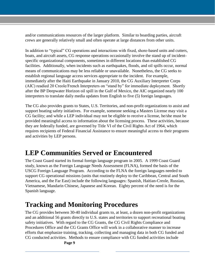crews are generally relatively small and often operate at large distances from other units. and/or communications resources of the larger platform. Similar to boarding parties, aircraft

In addition to "typical" CG operations and interactions with fixed, shore-based units and cutters, boats, and aircraft assets, CG response operations occasionally involve the stand up of incidentspecific organizational components, sometimes in different locations than established CG facilities. Additionally, when incidents such as earthquakes, floods, and oil spills occur, normal means of communications may be less reliable or unavailable. Nonetheless, the CG seeks to establish regional language access services appropriate to the incident. For example, immediately after the Haiti Earthquake in January 2010, the CG Auxiliary Interpreter Corps (AIC) readied 20 Creole/French Interpreters on "stand by" for immediate deployment. Shortly after the BP Deepwater Horizon oil spill in the Gulf of Mexico, the AIC organized nearly 100 interpreters to translate daily media updates from English to five (5) foreign languages.

 they are federally funded, are governed by Title VI of the Civil Rights Act of 1964, which The CG also provides grants to States, U.S. Territories, and non-profit organizations to assist and support boating safety initiatives. For example, someone seeking a Masters License may visit a CG facility; and while a LEP individual may not be eligible to receive a license, he/she must be provided meaningful access to information about the licensing process. These activities, because requires recipients of Federal Financial Assistance to ensure meaningful access to their programs and activities by LEP persons.

#### <span id="page-9-0"></span>**LEP Communities Served or Encountered**

The Coast Guard started its formal foreign language program in 2005. A 1999 Coast Guard study, known as the Foreign Language Needs Assessment (FLNA), formed the basis of the USCG Foreign Language Program. According to the FLNA the foreign languages needed to support CG operational missions (units that routinely deploy to the Caribbean, Central and South America, and the Far East) include the following languages: Spanish, Haitian-Creole, Russian, Vietnamese, Mandarin Chinese, Japanese and Korean. Eighty percent of the need is for the Spanish language.

#### <span id="page-9-1"></span>**Tracking and Monitoring Procedures**

The CG provides between 30-40 individual grants to, at least, a dozen non-profit organizations and an additional 56 grants directly to U.S. states and territories to support recreational boating safety initiatives. With regard to the CG Grants, the CG Civil Rights Compliance and Procedures Office and the CG Grants Office will work in a collaborative manner to increase efforts that emphasize training, tracking, collecting and managing data in both CG funded and CG conducted activities. Methods to ensure compliance with CG funded activities include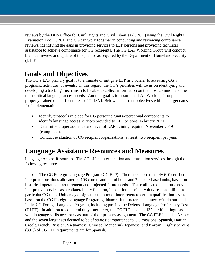reviews by the DHS Office for Civil Rights and Civil Liberties (CRCL) using the Civil Rights Evaluation Tool. CRCL and CG can work together in conducting and reviewing compliance reviews, identifying the gaps in providing services to LEP persons and providing technical assistance to achieve compliance for CG recipients. The CG LAP Working Group will conduct biannual review and update of this plan or as required by the Department of Homeland Security (DHS).

#### <span id="page-10-0"></span>**Goals and Objectives**

The CG's LAP primary goal is to eliminate or mitigate LEP as a barrier to accessing CG's programs, activities, or events. In this regard, the CG's priorities will focus on identifying and developing a tracking mechanism to be able to collect information on the most common and the most critical language access needs. Another goal is to ensure the LAP Working Group is properly trained on pertinent areas of Title VI. Below are current objectives with the target dates for implementation.

- Identify protocols in place for CG personnel/units/operational components to identify language access services provided to LEP persons, February 2021.
- Determine proper audience and level of LAP training required November 2019 (completed).
- Conduct evaluation of CG recipient organizations, at least, two recipient per year.

#### <span id="page-10-1"></span>**Language Assistance Resources and Measures**

Language Access Resources. The CG offers interpretation and translation services through the following resources:

• The CG Foreign Language Program (CG FLP). There are approximately 610 certified interpreter positions allocated to 103 cutters and patrol boats and 70 shore-based units, based on historical operational requirement and projected future needs. These allocated positions provide interpretive services as a collateral duty function, in addition to primary duty responsibilities to a particular CG unit. Units may designate a number of interpreters to certain qualification levels based on the CG Foreign Language Program guidance. Interpreters must meet criteria outlined in the CG Foreign Language Program, including passing the Defense Language Proficiency Test (DLPT). In addition to collateral duty interpreter, the CG FLP also has 132 certified linguists with language skills necessary as part of their primary assignment. The CG FLP includes Arabic and the seven languages deemed to be of strategic importance to CG missions: Spanish, Haitian Creole/French, Russian, Vietnamese, Chinese (Mandarin), Japanese, and Korean. Eighty percent (80%) of CG FLP requirements are for Spanish.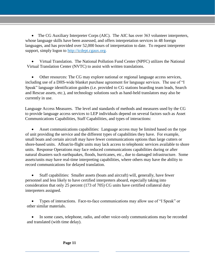• The CG Auxiliary Interpreter Corps (AIC). The AIC has over 363 volunteer interpreters, whose language skills have been assessed, and offers interpretation services in 48 foreign languages, and has provided over 52,000 hours of interpretation to date. To request interpreter support, simply logon to http://icdept.cgaux.org.

 Virtual Translation. The National Pollution Fund Center (NPFC) utilizes the National Virtual Translation Center (NVTC) to assist with written translations.

 Other resources: The CG may explore national or regional language access services, including use of a DHS-wide blanket purchase agreement for language services. The use of "I Speak" language identification guides (i.e. provided to CG stations boarding team leads, Search and Rescue assets, etc.), and technology solutions such as hand-held translators may also be currently in use.

 Communications Capabilities, Staff Capabilities, and types of interactions: Language Access Measures. The level and standards of methods and measures used by the CG to provide language access services to LEP individuals depend on several factors such as Asset

 Asset communications capabilities: Language access may be limited based on the type of unit providing the service and the different types of capabilities they have. For example, small boats and certain aircraft may have fewer communications options than large cutters or shore-based units. Afloat/in-flight units may lack access to telephonic services available to shore units. Response Operations may face reduced communications capabilities during or after natural disasters such earthquakes, floods, hurricanes, etc., due to damaged infrastructure. Some assets/units may have real-time interpreting capabilities, where others may have the ability to record communications for delayed translation.

 Staff capabilities: Smaller assets (boats and aircraft) will, generally, have fewer personnel and less likely to have certified interpreters aboard, especially taking into consideration that only 25 percent (173 of 705) CG units have certified collateral duty interpreters assigned.

 Types of interactions. Face-to-face communications may allow use of "I Speak" or other similar materials.

 In some cases, telephone, radio, and other voice-only communications may be recorded and translated (with time delay).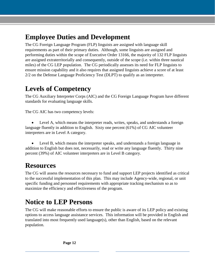#### <span id="page-12-0"></span>**Employee Duties and Development**

The CG Foreign Language Program (FLP) linguists are assigned with language skill requirements as part of their primary duties. Although, some linguists are assigned and performing duties within the scope of Executive Order 13166, the majority of 132 FLP linguists are assigned extraterritorially and consequently, outside of the scope (i.e. within three nautical miles) of the CG LEP population. The CG periodically assesses its need for FLP linguists to ensure mission capability and it also requires that assigned linguists achieve a score of at least 2/2 on the Defense Language Proficiency Test (DLPT) to qualify as an interpreter.

#### <span id="page-12-1"></span>**Levels of Competency**

The CG Auxiliary Interpreter Corps (AIC) and the CG Foreign Language Program have different standards for evaluating language skills.

The CG AIC has two competency levels:

 Level A, which means the interpreter reads, writes, speaks, and understands a foreign language fluently in addition to English. Sixty one percent (61%) of CG AIC volunteer interpreters are in Level A category.

 Level B, which means the interpreter speaks, and understands a foreign language in addition to English but does not, necessarily, read or write any language fluently. Thirty nine percent (39%) of AIC volunteer interpreters are in Level B category.

#### <span id="page-12-2"></span>**Resources**

 to the successful implementation of this plan. This may include Agency-wide, regional, or unit specific funding and personnel requirements with appropriate tracking mechanism so as to The CG will assess the resources necessary to fund and support LEP projects identified as critical maximize the efficiency and effectiveness of the program.

#### <span id="page-12-3"></span>**Notice to LEP Persons**

The CG will make reasonable efforts to ensure the public is aware of its LEP policy and existing options to access language assistance services. This information will be provided in English and translated into most frequently used language(s), other than English, based on the relevant population.